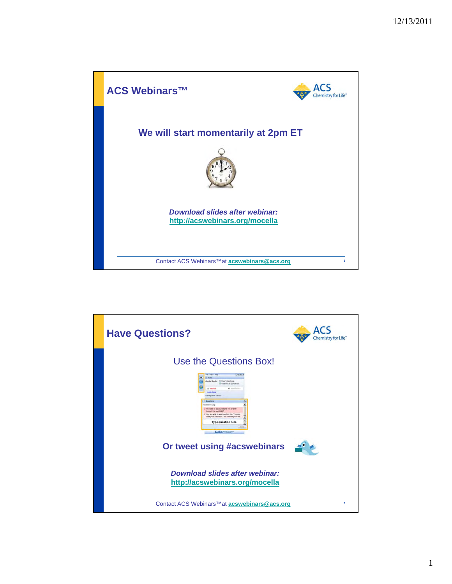

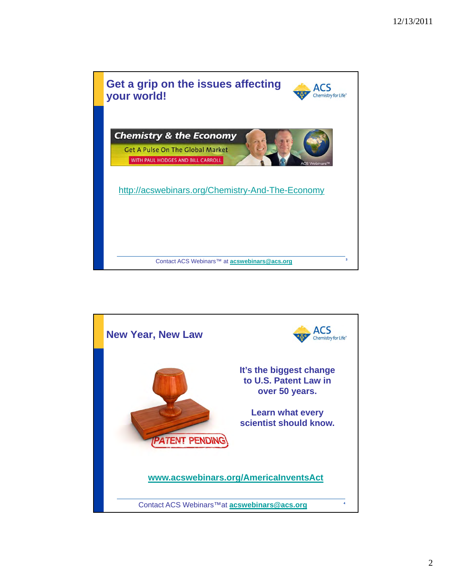

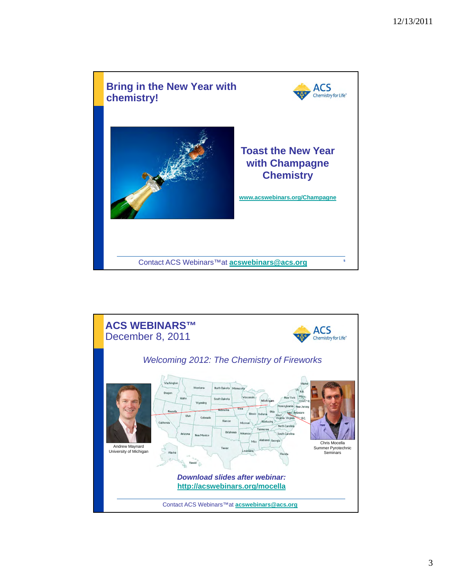

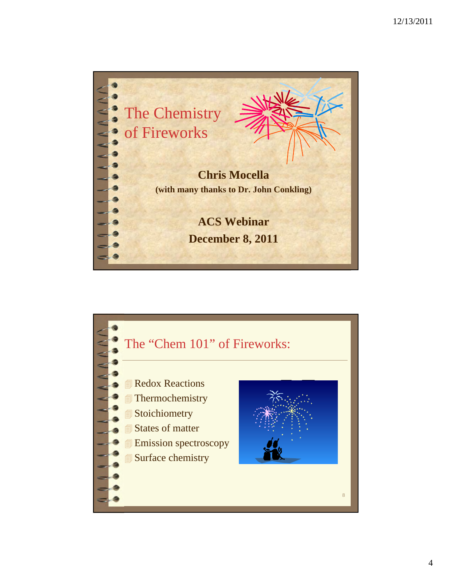

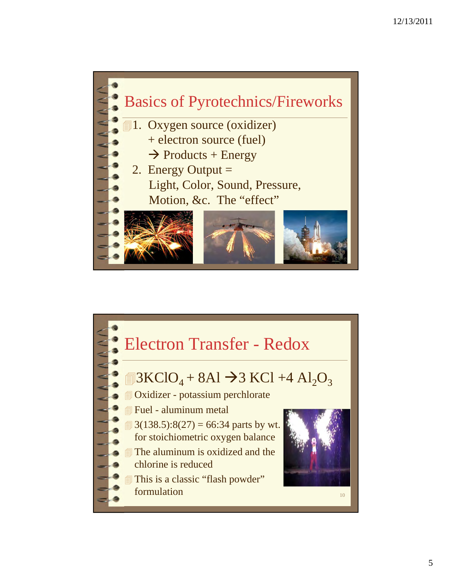

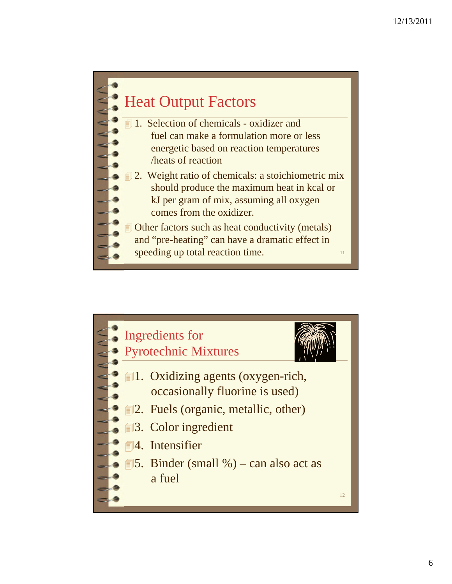

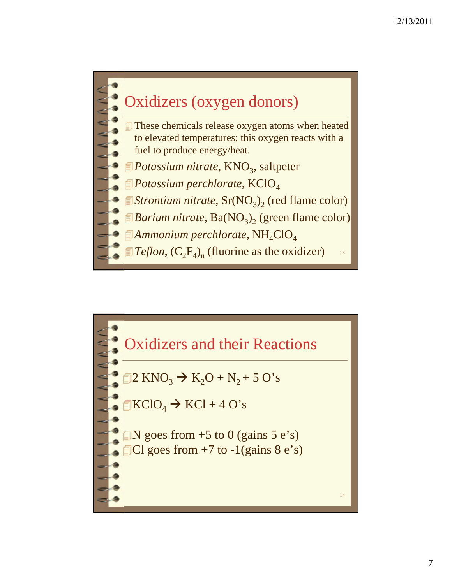

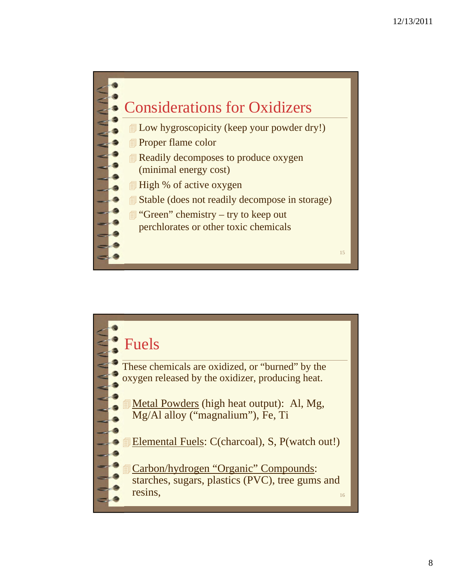

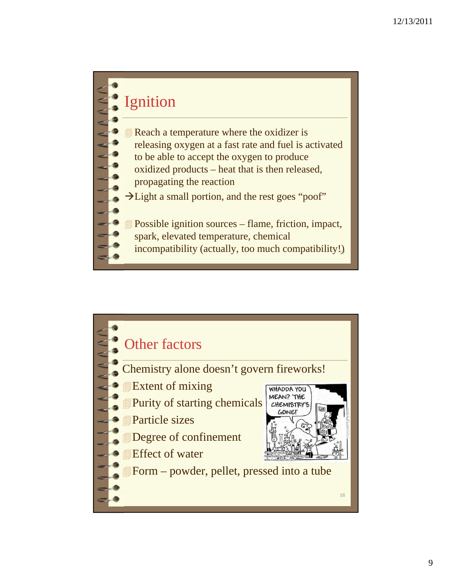## Ignition

- Reach a temperature where the oxidizer is releasing oxygen at a fast rate and fuel is activated to be able to accept the oxygen to produce oxidized products – heat that is then released, propagating the reaction
- Hight a small portion, and the rest goes "poof"
- Possible ignition sources flame, friction, impact,
- spark, elevated temperature, chemical
- incompatibility (actually, too much compatibility!)

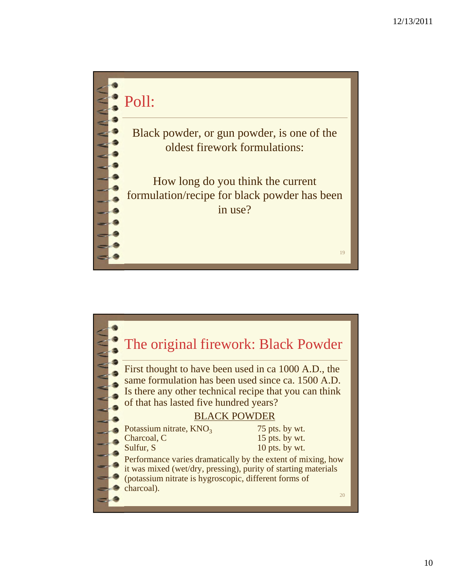

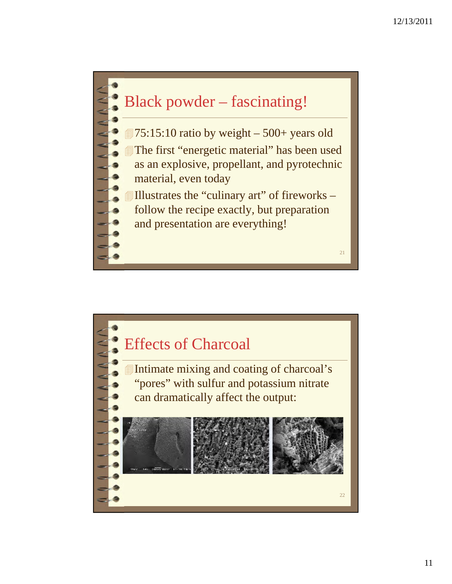

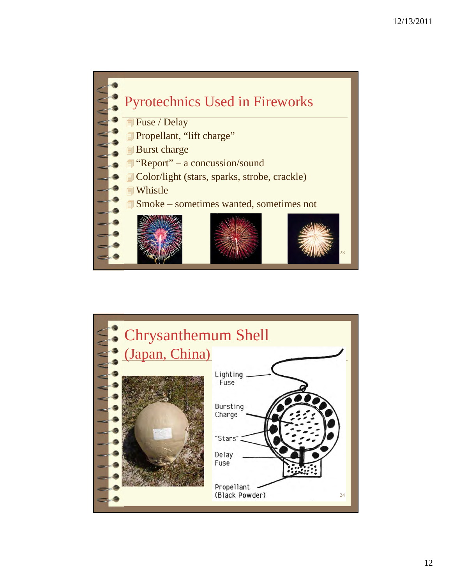

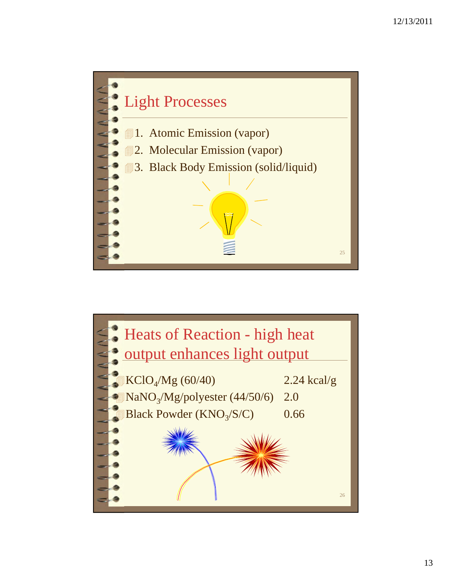

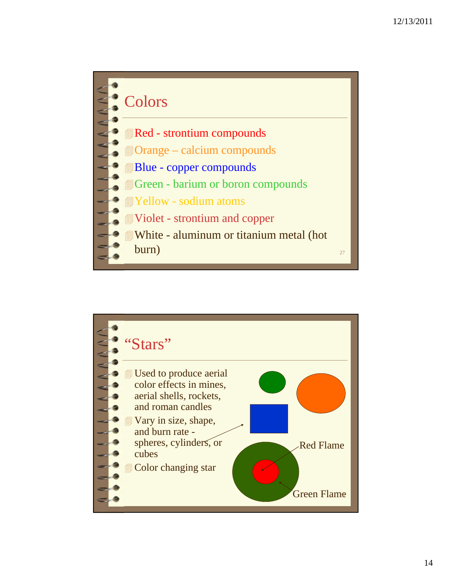

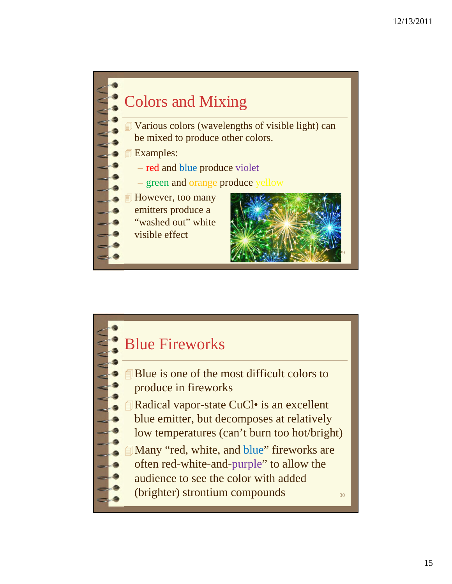

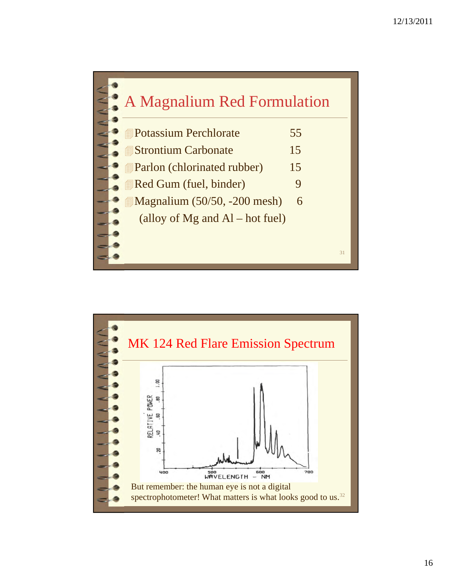

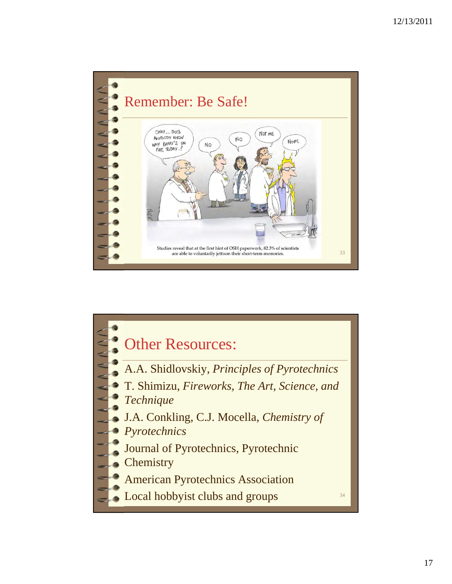

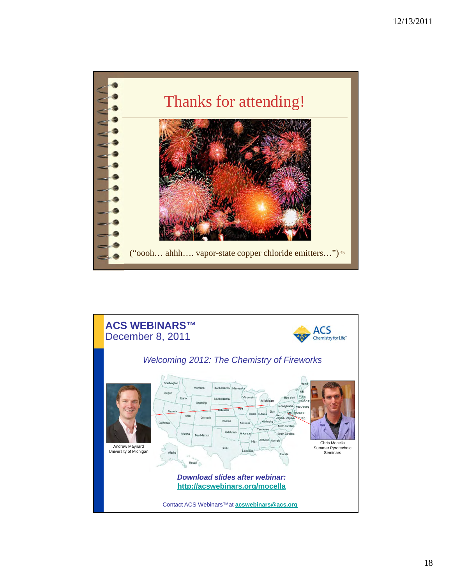

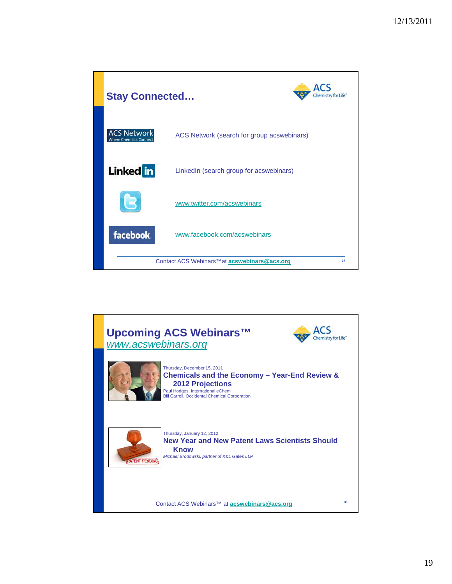| <b>Stay Connected</b>                                          |                                            |
|----------------------------------------------------------------|--------------------------------------------|
| <b>ACS Network</b><br><b>Where Chemists Connect</b>            | ACS Network (search for group acswebinars) |
| <b>Linked</b> in                                               | LinkedIn (search group for acswebinars)    |
|                                                                | www.twitter.com/acswebinars                |
| facebook.                                                      | www.facebook.com/acswebinars               |
| Contact ACS Webinars <sup>™</sup> at acswebinars@acs.org<br>37 |                                            |